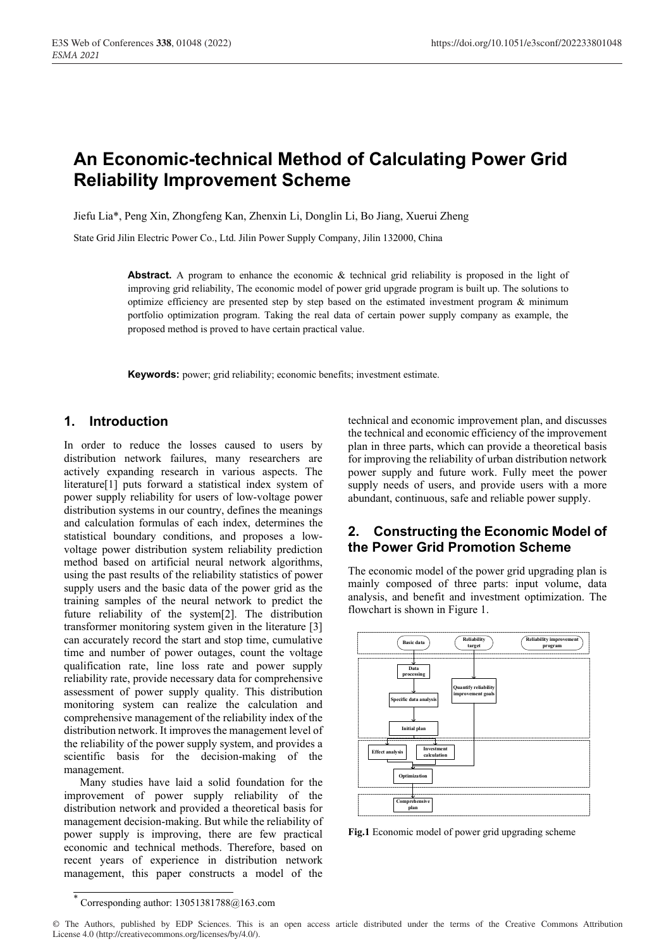# **An Economic-technical Method of Calculating Power Grid Reliability Improvement Scheme**

Jiefu Lia\*, Peng Xin, Zhongfeng Kan, Zhenxin Li, Donglin Li, Bo Jiang, Xuerui Zheng

State Grid Jilin Electric Power Co., Ltd. Jilin Power Supply Company, Jilin 132000, China

**Abstract.** A program to enhance the economic & technical grid reliability is proposed in the light of improving grid reliability, The economic model of power grid upgrade program is built up. The solutions to optimize efficiency are presented step by step based on the estimated investment program & minimum portfolio optimization program. Taking the real data of certain power supply company as example, the proposed method is proved to have certain practical value.

**Keywords:** power; grid reliability; economic benefits; investment estimate.

## **1. Introduction**

In order to reduce the losses caused to users by distribution network failures, many researchers are actively expanding research in various aspects. The literature[1] puts forward a statistical index system of power supply reliability for users of low-voltage power distribution systems in our country, defines the meanings and calculation formulas of each index, determines the statistical boundary conditions, and proposes a lowvoltage power distribution system reliability prediction method based on artificial neural network algorithms, using the past results of the reliability statistics of power supply users and the basic data of the power grid as the training samples of the neural network to predict the future reliability of the system[2]. The distribution transformer monitoring system given in the literature [3] can accurately record the start and stop time, cumulative time and number of power outages, count the voltage qualification rate, line loss rate and power supply reliability rate, provide necessary data for comprehensive assessment of power supply quality. This distribution monitoring system can realize the calculation and comprehensive management of the reliability index of the distribution network. It improves the management level of the reliability of the power supply system, and provides a scientific basis for the decision-making of the management.

Many studies have laid a solid foundation for the improvement of power supply reliability of the distribution network and provided a theoretical basis for management decision-making. But while the reliability of power supply is improving, there are few practical economic and technical methods. Therefore, based on recent years of experience in distribution network management, this paper constructs a model of the

technical and economic improvement plan, and discusses the technical and economic efficiency of the improvement plan in three parts, which can provide a theoretical basis for improving the reliability of urban distribution network power supply and future work. Fully meet the power supply needs of users, and provide users with a more abundant, continuous, safe and reliable power supply.

### **2. Constructing the Economic Model of the Power Grid Promotion Scheme**

The economic model of the power grid upgrading plan is mainly composed of three parts: input volume, data analysis, and benefit and investment optimization. The flowchart is shown in Figure 1.



**Fig.1** Economic model of power grid upgrading scheme

<sup>\*</sup> Corresponding author: 13051381788@163.com

<sup>©</sup> The Authors, published by EDP Sciences. This is an open access article distributed under the terms of the Creative Commons Attribution License 4.0 (http://creativecommons.org/licenses/by/4.0/).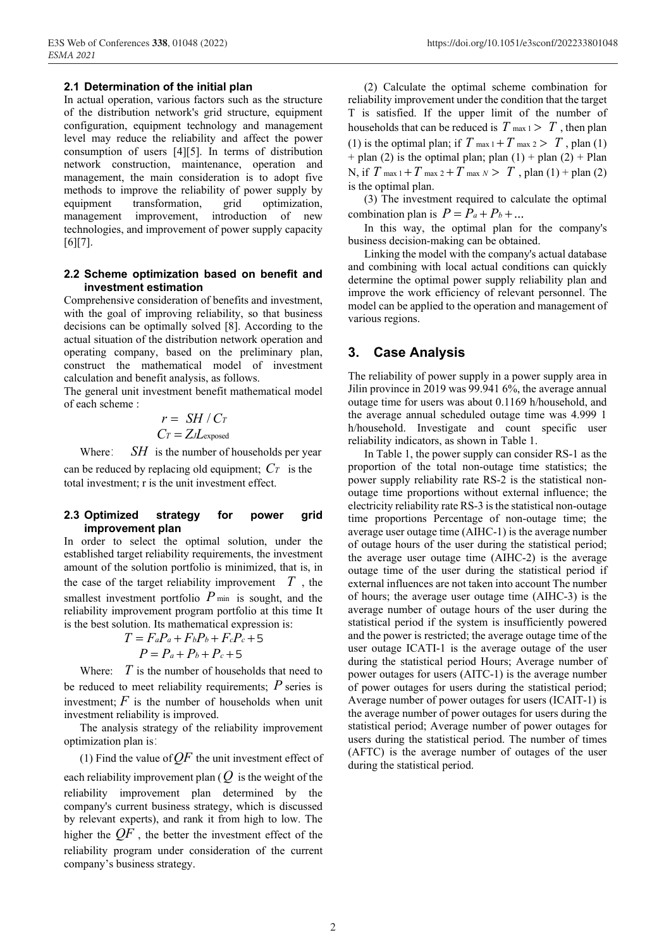### **2.1 Determination of the initial plan**

In actual operation, various factors such as the structure of the distribution network's grid structure, equipment configuration, equipment technology and management level may reduce the reliability and affect the power consumption of users [4][5]. In terms of distribution network construction, maintenance, operation and management, the main consideration is to adopt five methods to improve the reliability of power supply by equipment transformation, grid optimization. equipment transformation, grid optimization, management improvement, introduction of new technologies, and improvement of power supply capacity [6][7].

#### **2.2 Scheme optimization based on benefit and investment estimation**

Comprehensive consideration of benefits and investment, with the goal of improving reliability, so that business decisions can be optimally solved [8]. According to the actual situation of the distribution network operation and operating company, based on the preliminary plan, construct the mathematical model of investment calculation and benefit analysis, as follows.

The general unit investment benefit mathematical model of each scheme :

$$
r = SH / Cr
$$

$$
Cr = ZJL_{exposed}
$$

Where:  $SH$  is the number of households per year

can be reduced by replacing old equipment;  $Cr$  is the total investment; r is the unit investment effect.

#### **2.3 Optimized strategy for power grid improvement plan**

In order to select the optimal solution, under the established target reliability requirements, the investment amount of the solution portfolio is minimized, that is, in the case of the target reliability improvement  $T$ , the smallest investment portfolio  $P_{\text{min}}$  is sought, and the reliability improvement program portfolio at this time It is the best solution. Its mathematical expression is:

$$
T = F_aP_a + F_bP_b + F_cP_c + 5
$$

$$
P = P_a + P_b + P_c + 5
$$

Where:  $T$  is the number of households that need to be reduced to meet reliability requirements;  $P$  series is investment;  $F$  is the number of households when unit investment reliability is improved.

The analysis strategy of the reliability improvement optimization plan is:

(1) Find the value of  $QF$  the unit investment effect of each reliability improvement plan (  $Q$  is the weight of the reliability improvement plan determined by the company's current business strategy, which is discussed by relevant experts), and rank it from high to low. The higher the  $QF$  , the better the investment effect of the reliability program under consideration of the current company's business strategy.

(3) The investment required to calculate the optimal combination plan is  $P = P_a + P_b + ...$ 

In this way, the optimal plan for the company's business decision-making can be obtained.

Linking the model with the company's actual database and combining with local actual conditions can quickly determine the optimal power supply reliability plan and improve the work efficiency of relevant personnel. The model can be applied to the operation and management of various regions.

### **3. Case Analysis**

The reliability of power supply in a power supply area in Jilin province in 2019 was 99.941 6%, the average annual outage time for users was about 0.1169 h/household, and the average annual scheduled outage time was 4.999 1 h/household. Investigate and count specific user reliability indicators, as shown in Table 1.

In Table 1, the power supply can consider RS-1 as the proportion of the total non-outage time statistics; the power supply reliability rate RS-2 is the statistical nonoutage time proportions without external influence; the electricity reliability rate RS-3 is the statistical non-outage time proportions Percentage of non-outage time; the average user outage time (AIHC-1) is the average number of outage hours of the user during the statistical period; the average user outage time (AIHC-2) is the average outage time of the user during the statistical period if external influences are not taken into account The number of hours; the average user outage time (AIHC-3) is the average number of outage hours of the user during the statistical period if the system is insufficiently powered and the power is restricted; the average outage time of the user outage ICATI-1 is the average outage of the user during the statistical period Hours; Average number of power outages for users (AITC-1) is the average number of power outages for users during the statistical period; Average number of power outages for users (ICAIT-1) is the average number of power outages for users during the statistical period; Average number of power outages for users during the statistical period. The number of times (AFTC) is the average number of outages of the user during the statistical period.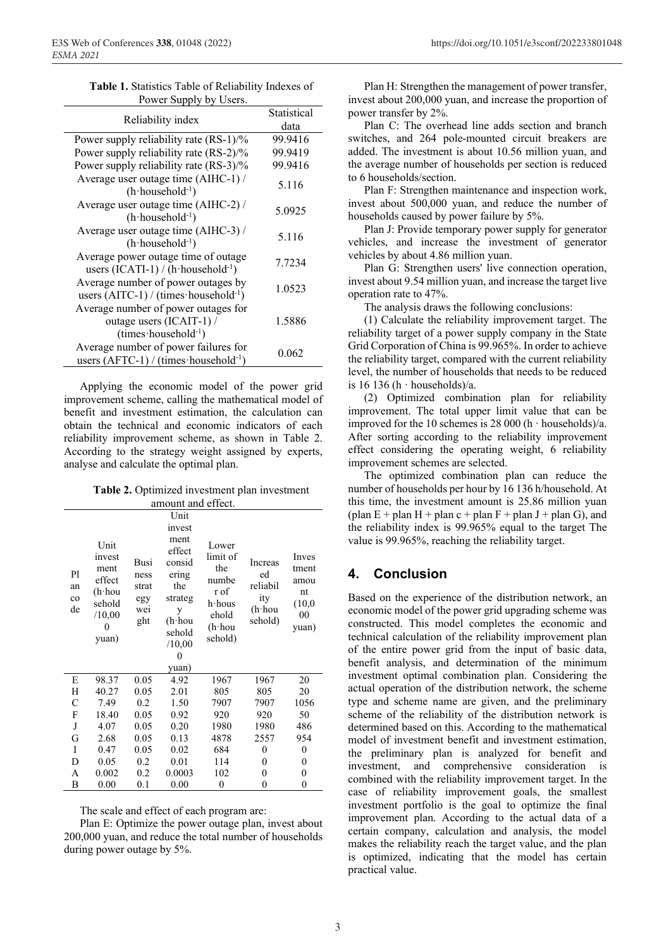| Table 1. Statistics Table of Reliability Indexes of |
|-----------------------------------------------------|
| Power Supply by Users.                              |

| TOWER DUPPLY UY OSEIS.                                                                            |                     |  |
|---------------------------------------------------------------------------------------------------|---------------------|--|
| Reliability index                                                                                 | Statistical<br>data |  |
| Power supply reliability rate (RS-1)/%                                                            | 99.9416             |  |
| Power supply reliability rate (RS-2)/%                                                            | 99.9419             |  |
| Power supply reliability rate (RS-3)/%                                                            | 99.9416             |  |
| Average user outage time (AIHC-1) /<br>$(h$ household <sup>-1</sup> )                             | 5.116               |  |
| Average user outage time (AIHC-2) /<br>$(h$ household <sup>-1</sup> )                             | 5.0925              |  |
| Average user outage time (AIHC-3) /<br>$(h$ household <sup>-1</sup> )                             | 5.116               |  |
| Average power outage time of outage<br>users $(ICATI-1) / (h \cdot \text{household}^{-1})$        | 7.7234              |  |
| Average number of power outages by<br>users (AITC-1) / (times household-1)                        | 1.0523              |  |
| Average number of power outages for<br>outage users (ICAIT-1) /<br>$(times \cdot household^{-1})$ | 1.5886              |  |
| Average number of power failures for<br>users $(AFTC-1) / (times \cdot household^{-1})$           | 0.062               |  |

Applying the economic model of the power grid improvement scheme, calling the mathematical model of benefit and investment estimation, the calculation can obtain the technical and economic indicators of each reliability improvement scheme, as shown in Table 2. According to the strategy weight assigned by experts, analyse and calculate the optimal plan.

Table 2. Optimized investment plan investment

| amount and effect.            |                                                                                       |                                            |                                                                                    |                                                                             |                                                              |                                                       |  |  |
|-------------------------------|---------------------------------------------------------------------------------------|--------------------------------------------|------------------------------------------------------------------------------------|-----------------------------------------------------------------------------|--------------------------------------------------------------|-------------------------------------------------------|--|--|
| P1<br>an<br>$_{\rm co}$<br>de | Unit<br>invest<br>ment<br>effect<br>$(h \cdot h$ ou<br>sehold<br>/10,00<br>0<br>yuan) |                                            | Unit<br>invest<br>ment<br>effect                                                   | Lower<br>limit of                                                           | <b>Increas</b><br>ed<br>reliabil<br>ity<br>(h·hou<br>sehold) | Inves<br>tment<br>amou<br>nt<br>(10,0)<br>00<br>yuan) |  |  |
|                               |                                                                                       | Busi<br>ness<br>strat<br>egy<br>wei<br>ght | consid<br>ering<br>the<br>strateg<br>у<br>(h∙hou<br>sehold<br>/10,00<br>0<br>yuan) | the<br>numbe<br>r of<br>h·hous<br>ehold<br>$(h \cdot h \circ u)$<br>sehold) |                                                              |                                                       |  |  |
| E                             | 98.37                                                                                 | 0.05                                       | 4.92                                                                               | 1967                                                                        | 1967                                                         | 20                                                    |  |  |
| Н                             | 40.27                                                                                 | 0.05                                       | 2.01                                                                               | 805                                                                         | 805                                                          | 20                                                    |  |  |
| C                             | 7.49                                                                                  | 0.2                                        | 1.50                                                                               | 7907                                                                        | 7907                                                         | 1056                                                  |  |  |
| F                             | 18.40                                                                                 | 0.05                                       | 0.92                                                                               | 920                                                                         | 920                                                          | 50                                                    |  |  |
| J                             | 4.07                                                                                  | 0.05                                       | 0.20                                                                               | 1980                                                                        | 1980                                                         | 486                                                   |  |  |
| G                             | 2.68                                                                                  | 0.05                                       | 0.13                                                                               | 4878                                                                        | 2557                                                         | 954                                                   |  |  |
| I                             | 0.47                                                                                  | 0.05                                       | 0.02                                                                               | 684                                                                         | $\mathbf{0}$                                                 | $\boldsymbol{0}$                                      |  |  |
| D                             | 0.05                                                                                  | 0.2                                        | 0.01                                                                               | 114                                                                         | 0                                                            | $\boldsymbol{0}$                                      |  |  |
| A                             | 0.002                                                                                 | 0.2                                        | 0.0003                                                                             | 102                                                                         | $\mathbf{0}$                                                 | $\mathbf{0}$                                          |  |  |
| R                             | 0.00                                                                                  | 0 <sub>1</sub>                             | 0.00                                                                               | $\Omega$                                                                    | $\Omega$                                                     | $\Omega$                                              |  |  |

The scale and effect of each program are:

Plan E: Optimize the power outage plan, invest about 200,000 yuan, and reduce the total number of households during power outage by 5%.

Plan H: Strengthen the management of power transfer, invest about 200,000 yuan, and increase the proportion of power transfer by 2%.

Plan C: The overhead line adds section and branch switches, and 264 pole-mounted circuit breakers are added. The investment is about 10.56 million yuan, and the average number of households per section is reduced to 6 households/section.

Plan F: Strengthen maintenance and inspection work, invest about 500,000 yuan, and reduce the number of households caused by power failure by 5%.

Plan J: Provide temporary power supply for generator vehicles, and increase the investment of generator vehicles by about 4.86 million yuan.

Plan G: Strengthen users' live connection operation, invest about 9.54 million yuan, and increase the target live operation rate to 47%.

The analysis draws the following conclusions:

(1) Calculate the reliability improvement target. The reliability target of a power supply company in the State Grid Corporation of China is 99.965%. In order to achieve the reliability target, compared with the current reliability level, the number of households that needs to be reduced is 16 136 (h · households)/a.

(2) Optimized combination plan for reliability improvement. The total upper limit value that can be improved for the 10 schemes is 28 000 (h · households)/a. After sorting according to the reliability improvement effect considering the operating weight, 6 reliability improvement schemes are selected.

The optimized combination plan can reduce the number of households per hour by 16 136 h/household. At this time, the investment amount is 25.86 million yuan (plan E + plan H + plan c + plan F + plan J + plan G), and the reliability index is 99.965% equal to the target The value is 99.965%, reaching the reliability target.

#### $\mathbf{A}$ **Conclusion**

Based on the experience of the distribution network, an economic model of the power grid upgrading scheme was constructed. This model completes the economic and technical calculation of the reliability improvement plan of the entire power grid from the input of basic data, benefit analysis, and determination of the minimum investment optimal combination plan. Considering the actual operation of the distribution network, the scheme type and scheme name are given, and the preliminary scheme of the reliability of the distribution network is determined based on this. According to the mathematical model of investment benefit and investment estimation. the preliminary plan is analyzed for benefit and investment, and comprehensive consideration is combined with the reliability improvement target. In the case of reliability improvement goals, the smallest investment portfolio is the goal to optimize the final improvement plan. According to the actual data of a certain company, calculation and analysis, the model makes the reliability reach the target value, and the plan is optimized, indicating that the model has certain practical value.